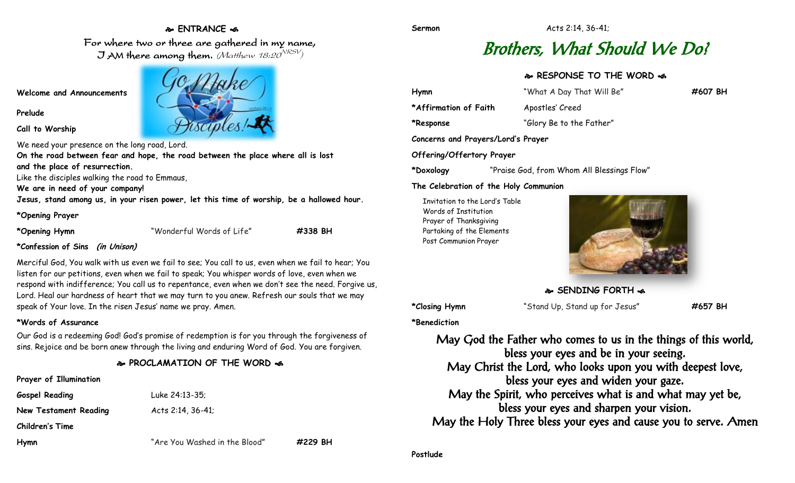# **ENTRANCE**

For where two or three are gathered in my name, J AM there among them. (Matthew 18:20 $^{\rm \scriptstyle VRSV}$ )

**Welcome and Announcements**

### **Prelude**

**Call to Worship**

We need your presence on the long road, Lord.

**On the road between fear and hope, the road between the place where all is lost and the place of resurrection.**

Like the disciples walking the road to Emmaus,

**We are in need of your company!**

**Jesus, stand among us, in your risen power, let this time of worship, be a hallowed hour.**

### **\*Opening Prayer**

**\*Opening Hymn** "Wonderful Words of Life" **#338 BH**

## **\*Confession of Sins (in Unison)**

Merciful God, You walk with us even we fail to see; You call to us, even when we fail to hear; You listen for our petitions, even when we fail to speak; You whisper words of love, even when we respond with indifference; You call us to repentance, even when we don't see the need. Forgive us, Lord. Heal our hardness of heart that we may turn to you anew. Refresh our souls that we may speak of Your love. In the risen Jesus' name we pray. Amen.

### **\*Words of Assurance**

**Prayer of Illumination**

Our God is a redeeming God! God's promise of redemption is for you through the forgiveness of sins. Rejoice and be born anew through the living and enduring Word of God. You are forgiven.

# **PROCLAMATION OF THE WORD**

| <b>Prayer Of Lighthanon</b> |                               |         |
|-----------------------------|-------------------------------|---------|
| <b>Gospel Reading</b>       | Luke 24:13-35;                |         |
| New Testament Reading       | Acts $2:14, 36-41$ ;          |         |
| <b>Children's Time</b>      |                               |         |
| Hymn                        | "Are You Washed in the Blood" | #229 BH |
|                             |                               |         |

# Brothers, What Should We Do?

# **RESPONSE TO THE WORD**

| Hymn                               | "What A Day That Will Be"                  | #607 BH |
|------------------------------------|--------------------------------------------|---------|
| *Affirmation of Faith              | Apostles' Creed                            |         |
| *Response                          | "Glory Be to the Father"                   |         |
| Concerns and Prayers/Lord's Prayer |                                            |         |
| Offering/Offertory Prayer          |                                            |         |
| *Doxology                          | "Praise God, from Whom All Blessings Flow" |         |

### **The Celebration of the Holy Communion**

Invitation to the Lord's Table Words of Institution Prayer of Thanksgiving Partaking of the Elements Post Communion Prayer



**SENDING FORTH**  $\bullet$ 

**\*Closing Hymn** "Stand Up, Stand up for Jesus" **#657 BH**

**\*Benediction**

May God the Father who comes to us in the things of this world, bless your eyes and be in your seeing. May Christ the Lord, who looks upon you with deepest love, bless your eyes and widen your gaze. May the Spirit, who perceives what is and what may yet be, bless your eyes and sharpen your vision. May the Holy Three bless your eyes and cause you to serve. Amen

**Postlude**